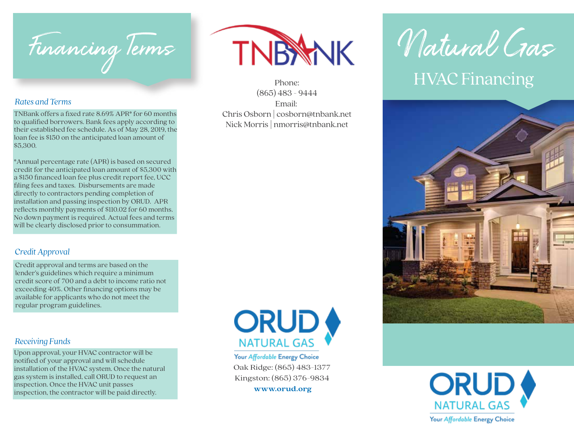

#### *Rates and Terms*

TNBank offers a fixed rate 8.69% APR\* for 60 months to qualified borrowers. Bank fees apply according to their established fee schedule. As of May 28, 2019, the loan fee is \$150 on the anticipated loan amount of \$5,300.

\*Annual percentage rate (APR) is based on secured credit for the anticipated loan amount of \$5,300 with a \$150 financed loan fee plus credit report fee, UCC filing fees and taxes. Disbursements are made directly to contractors pending completion of installation and passing inspection by ORUD. APR reflects monthly payments of \$110.02 for 60 months. No down payment is required. Actual fees and terms will be clearly disclosed prior to consummation.

### *Credit Approval*

Credit approval and terms are based on the lender's guidelines which require a minimum credit score of 700 and a debt to income ratio not exceeding 40%. Other financing options may be available for applicants who do not meet the regular program guidelines.

#### *Receiving Funds*

Upon approval, your HVAC contractor will be notified of your approval and will schedule installation of the HVAC system. Once the natural gas system is installed, call ORUD to request an inspection. Once the HVAC unit passes inspection, the contractor will be paid directly.



(865) 483 - 9444 Email: Chris Osborn **|** cosborn@tnbank.net Nick Morris **|** nmorris@tnbank.net



Your Affordable Energy Choice Oak Ridge: (865) 483-1377 Kingston: (865) 376-9834 **www.orud.org**

# Natural Gas Phone: HVAC Financing